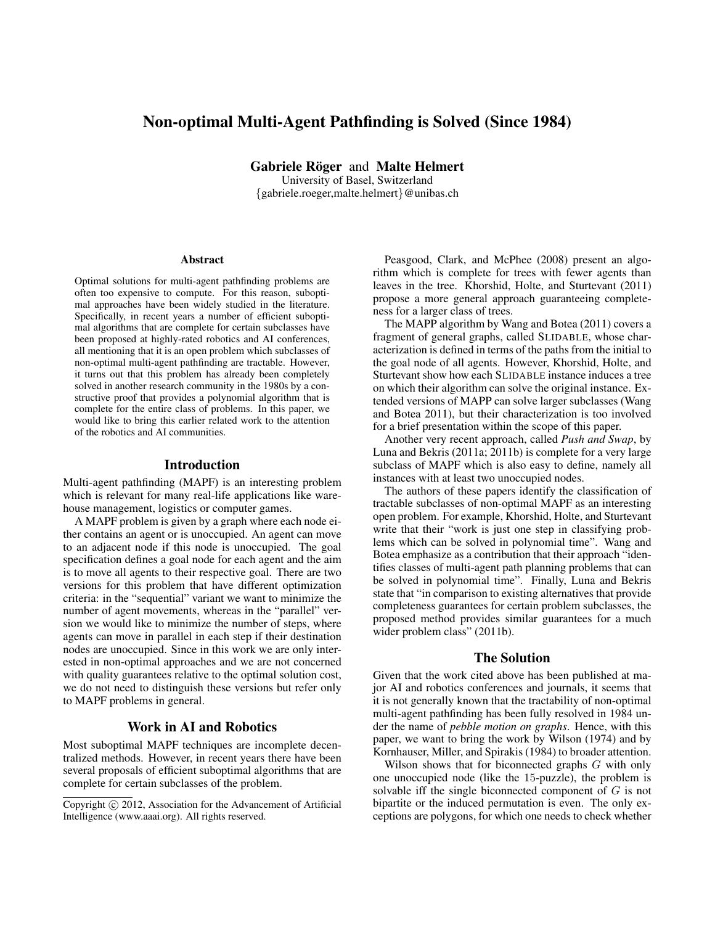# Non-optimal Multi-Agent Pathfinding is Solved (Since 1984)

Gabriele Röger and Malte Helmert

University of Basel, Switzerland {gabriele.roeger,malte.helmert}@unibas.ch

#### Abstract

Optimal solutions for multi-agent pathfinding problems are often too expensive to compute. For this reason, suboptimal approaches have been widely studied in the literature. Specifically, in recent years a number of efficient suboptimal algorithms that are complete for certain subclasses have been proposed at highly-rated robotics and AI conferences, all mentioning that it is an open problem which subclasses of non-optimal multi-agent pathfinding are tractable. However, it turns out that this problem has already been completely solved in another research community in the 1980s by a constructive proof that provides a polynomial algorithm that is complete for the entire class of problems. In this paper, we would like to bring this earlier related work to the attention of the robotics and AI communities.

#### Introduction

Multi-agent pathfinding (MAPF) is an interesting problem which is relevant for many real-life applications like warehouse management, logistics or computer games.

A MAPF problem is given by a graph where each node either contains an agent or is unoccupied. An agent can move to an adjacent node if this node is unoccupied. The goal specification defines a goal node for each agent and the aim is to move all agents to their respective goal. There are two versions for this problem that have different optimization criteria: in the "sequential" variant we want to minimize the number of agent movements, whereas in the "parallel" version we would like to minimize the number of steps, where agents can move in parallel in each step if their destination nodes are unoccupied. Since in this work we are only interested in non-optimal approaches and we are not concerned with quality guarantees relative to the optimal solution cost, we do not need to distinguish these versions but refer only to MAPF problems in general.

# Work in AI and Robotics

Most suboptimal MAPF techniques are incomplete decentralized methods. However, in recent years there have been several proposals of efficient suboptimal algorithms that are complete for certain subclasses of the problem.

Peasgood, Clark, and McPhee (2008) present an algorithm which is complete for trees with fewer agents than leaves in the tree. Khorshid, Holte, and Sturtevant (2011) propose a more general approach guaranteeing completeness for a larger class of trees.

The MAPP algorithm by Wang and Botea (2011) covers a fragment of general graphs, called SLIDABLE, whose characterization is defined in terms of the paths from the initial to the goal node of all agents. However, Khorshid, Holte, and Sturtevant show how each SLIDABLE instance induces a tree on which their algorithm can solve the original instance. Extended versions of MAPP can solve larger subclasses (Wang and Botea 2011), but their characterization is too involved for a brief presentation within the scope of this paper.

Another very recent approach, called *Push and Swap*, by Luna and Bekris (2011a; 2011b) is complete for a very large subclass of MAPF which is also easy to define, namely all instances with at least two unoccupied nodes.

The authors of these papers identify the classification of tractable subclasses of non-optimal MAPF as an interesting open problem. For example, Khorshid, Holte, and Sturtevant write that their "work is just one step in classifying problems which can be solved in polynomial time". Wang and Botea emphasize as a contribution that their approach "identifies classes of multi-agent path planning problems that can be solved in polynomial time". Finally, Luna and Bekris state that "in comparison to existing alternatives that provide completeness guarantees for certain problem subclasses, the proposed method provides similar guarantees for a much wider problem class" (2011b).

## The Solution

Given that the work cited above has been published at major AI and robotics conferences and journals, it seems that it is not generally known that the tractability of non-optimal multi-agent pathfinding has been fully resolved in 1984 under the name of *pebble motion on graphs*. Hence, with this paper, we want to bring the work by Wilson (1974) and by Kornhauser, Miller, and Spirakis (1984) to broader attention.

Wilson shows that for biconnected graphs G with only one unoccupied node (like the 15-puzzle), the problem is solvable iff the single biconnected component of  $G$  is not bipartite or the induced permutation is even. The only exceptions are polygons, for which one needs to check whether

Copyright (c) 2012, Association for the Advancement of Artificial Intelligence (www.aaai.org). All rights reserved.